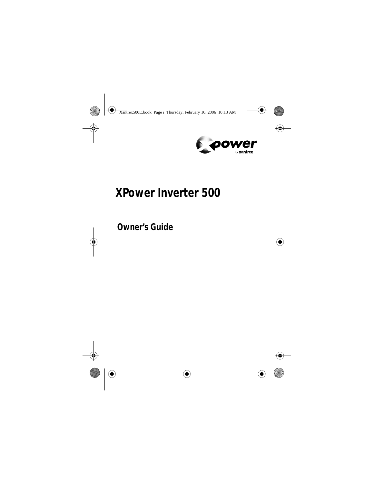

# **XPower Inverter 500**

**Owner's Guide**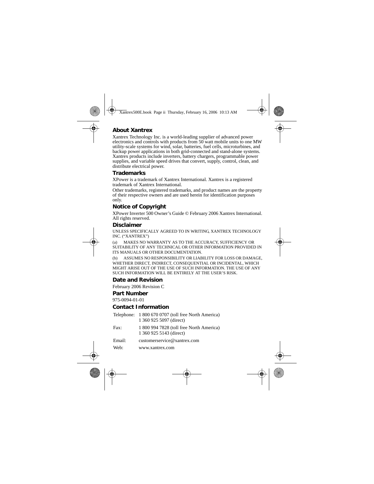#### **About Xantrex**

Xantrex Technology Inc. is a world-leading supplier of advanced power electronics and controls with products from 50 watt mobile units to one MW utility-scale systems for wind, solar, batteries, fuel cells, microturbines, and backup power applications in both grid-connected and stand-alone systems. Xantrex products include inverters, battery chargers, programmable power supplies, and variable speed drives that convert, supply, control, clean, and distribute electrical power.

#### **Trademarks**

XPower is a trademark of Xantrex International. Xantrex is a registered trademark of Xantrex International.

Other trademarks, registered trademarks, and product names are the property of their respective owners and are used herein for identification purposes only.

#### **Notice of Copyright**

XPower Inverter 500 Owner's Guide © February 2006 Xantrex International. All rights reserved.

#### **Disclaimer**

UNLESS SPECIFICALLY AGREED TO IN WRITING, XANTREX TECHNOLOGY INC. ("XANTREX")

(a) MAKES NO WARRANTY AS TO THE ACCURACY, SUFFICIENCY OR SUITABILITY OF ANY TECHNICAL OR OTHER INFORMATION PROVIDED IN ITS MANUALS OR OTHER DOCUMENTATION.

(b) ASSUMES NO RESPONSIBILITY OR LIABILITY FOR LOSS OR DAMAGE, WHETHER DIRECT, INDIRECT, CONSEQUENTIAL OR INCIDENTAL, WHICH MIGHT ARISE OUT OF THE USE OF SUCH INFORMATION. THE USE OF ANY SUCH INFORMATION WILL BE ENTIRELY AT THE USER'S RISK.

#### **Date and Revision**

February 2006 Revision C

#### **Part Number**

975-0094-01-01

#### **Contact Information**

|        | Telephone: 1 800 670 0707 (toll free North America)<br>1 360 925 5097 (direct) |
|--------|--------------------------------------------------------------------------------|
| Fax:   | 1 800 994 7828 (toll free North America)<br>1 360 925 5143 (direct)            |
| Email: | customerservice@xantrex.com                                                    |
| Web:   | www.xantrex.com                                                                |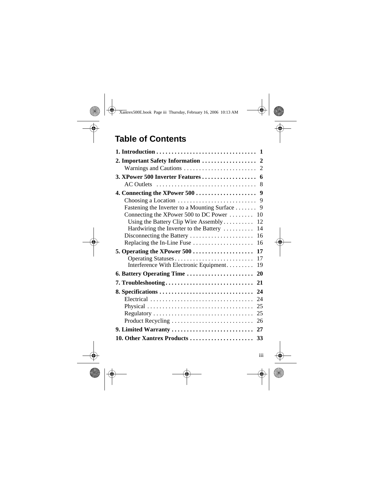# **Table of Contents**

| 2. Important Safety Information  2                                       |
|--------------------------------------------------------------------------|
|                                                                          |
|                                                                          |
| AC Outlets<br>8                                                          |
| 4. Connecting the XPower 500<br>9                                        |
| Choosing a Location<br>9                                                 |
| 9<br>Fastening the Inverter to a Mounting Surface                        |
| Connecting the XPower 500 to DC Power<br>10                              |
| Using the Battery Clip Wire Assembly<br>12                               |
| 14<br>Hardwiring the Inverter to the Battery                             |
| Disconnecting the Battery<br>16                                          |
| Replacing the In-Line Fuse<br>16                                         |
| 5. Operating the XPower $500$<br>17                                      |
| 17<br>Operating Statuses<br>Interference With Electronic Equipment<br>19 |
| 6. Battery Operating Time<br>20                                          |
| 7. Troubleshooting<br>21                                                 |
| 8. Specifications<br>24                                                  |
| 24<br>Electrical                                                         |
| 25                                                                       |
| 25                                                                       |
| 26<br>Product Recycling                                                  |
| 9. Limited Warranty<br>27                                                |
|                                                                          |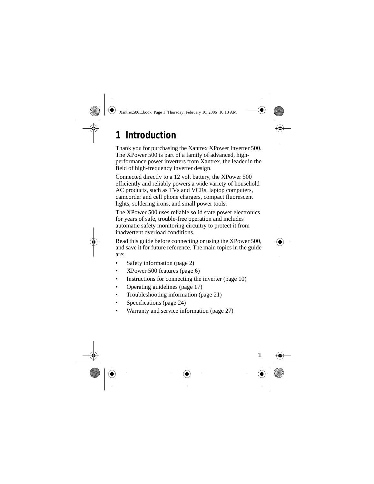# **1 Introduction**

Thank you for purchasing the Xantrex XPower Inverter 500. The XPower 500 is part of a family of advanced, highperformance power inverters from Xantrex, the leader in the field of high-frequency inverter design.

Connected directly to a 12 volt battery, the XPower 500 efficiently and reliably powers a wide variety of household AC products, such as TVs and VCRs, laptop computers, camcorder and cell phone chargers, compact fluorescent lights, soldering irons, and small power tools.

The XPower 500 uses reliable solid state power electronics for years of safe, trouble-free operation and includes automatic safety monitoring circuitry to protect it from inadvertent overload conditions.

Read this guide before connecting or using the XPower 500, and save it for future reference. The main topics in the guide are:

- Safety information (page 2)
- XPower 500 features (page 6)
- Instructions for connecting the inverter (page 10)
- Operating guidelines (page 17)
- Troubleshooting information (page 21)
- Specifications (page 24)
- Warranty and service information (page 27)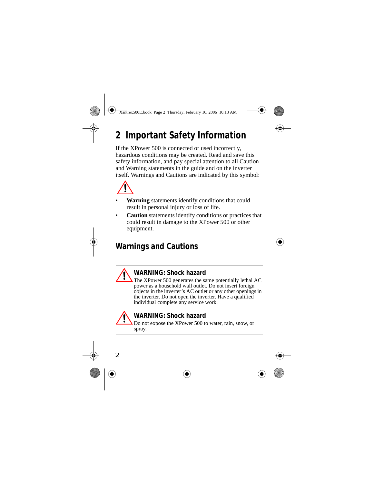# **2 Important Safety Information**

If the XPower 500 is connected or used incorrectly, hazardous conditions may be created. Read and save this safety information, and pay special attention to all Caution and Warning statements in the guide and on the inverter itself. Warnings and Cautions are indicated by this symbol:



- **Warning** statements identify conditions that could result in personal injury or loss of life.
- **Caution** statements identify conditions or practices that could result in damage to the XPower 500 or other equipment.

# **Warnings and Cautions**

#### **WARNING: Shock hazard**

The XPower 500 generates the same potentially lethal AC power as a household wall outlet. Do not insert foreign objects in the inverter's AC outlet or any other openings in the inverter. Do not open the inverter. Have a qualified individual complete any service work.



#### **WARNING: Shock hazard**

Do not expose the XPower 500 to water, rain, snow, or spray.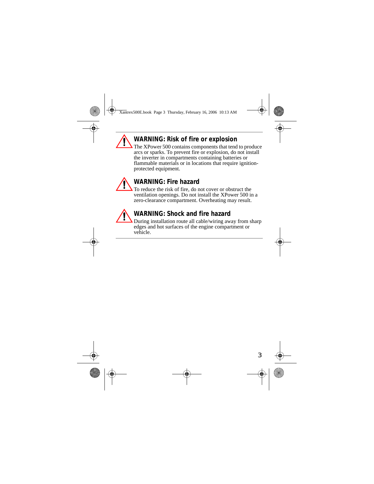### **WARNING: Risk of fire or explosion**

The XPower 500 contains components that tend to produce arcs or sparks. To prevent fire or explosion, do not install the inverter in compartments containing batteries or flammable materials or in locations that require ignitionprotected equipment.



#### **WARNING: Fire hazard**

To reduce the risk of fire, do not cover or obstruct the ventilation openings. Do not install the XPower 500 in a zero-clearance compartment. Overheating may result.

#### **WARNING: Shock and fire hazard**

During installation route all cable/wiring away from sharp edges and hot surfaces of the engine compartment or vehicle.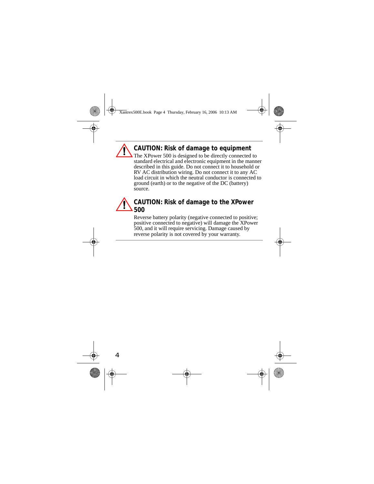### **CAUTION: Risk of damage to equipment**

The XPower 500 is designed to be directly connected to standard electrical and electronic equipment in the manner described in this guide. Do not connect it to household or RV AC distribution wiring. Do not connect it to any AC load circuit in which the neutral conductor is connected to ground (earth) or to the negative of the DC (battery) source.

#### **CAUTION: Risk of damage to the XPower 500**

Reverse battery polarity (negative connected to positive; positive connected to negative) will damage the XPower 500, and it will require servicing. Damage caused by reverse polarity is not covered by your warranty.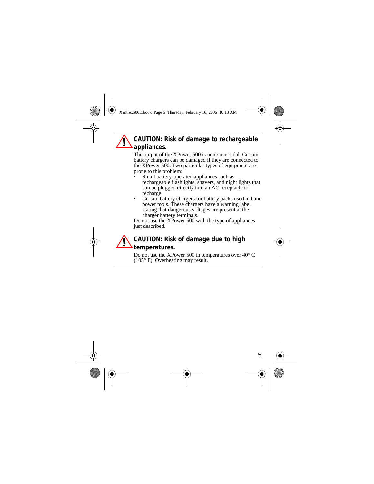### **CAUTION: Risk of damage to rechargeable appliances.**

The output of the XPower 500 is non-sinusoidal. Certain battery chargers can be damaged if they are connected to the XPower 500. Two particular types of equipment are prone to this problem:

- Small battery-operated appliances such as rechargeable flashlights, shavers, and night lights that can be plugged directly into an AC receptacle to recharge.
- Certain battery chargers for battery packs used in hand power tools. These chargers have a warning label stating that dangerous voltages are present at the charger battery terminals.

Do not use the XPower 500 with the type of appliances just described.

#### **CAUTION: Risk of damage due to high temperatures.**

Do not use the XPower 500 in temperatures over 40° C (105° F). Overheating may result.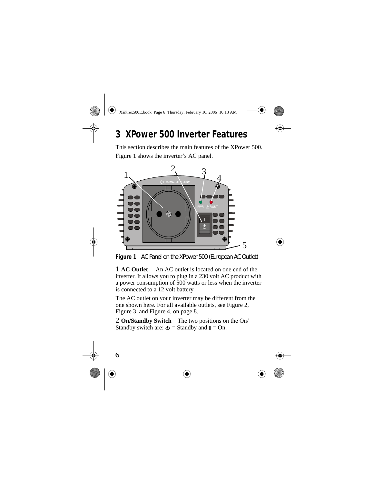# **3 XPower 500 Inverter Features**

This section describes the main features of the XPower 500. Figure 1 shows the inverter's AC panel.



**Figure 1** AC Panel on the XPower 500 (European AC Outlet)

1 **AC Outlet** An AC outlet is located on one end of the inverter. It allows you to plug in a 230 volt AC product with a power consumption of 500 watts or less when the inverter is connected to a 12 volt battery.

The AC outlet on your inverter may be different from the one shown here. For all available outlets, see Figure 2, Figure 3, and Figure 4, on page 8.

2 **On/Standby Switch** The two positions on the On/ Standby switch are:  $\Phi$  = Standby and  $\Box$  = On.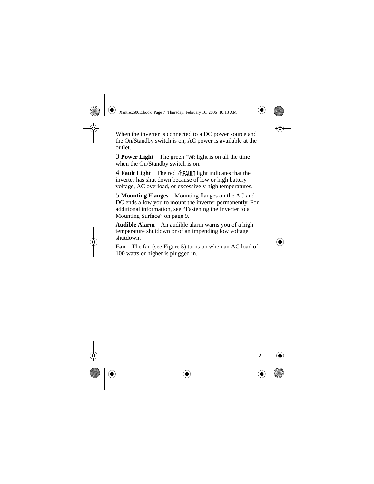When the inverter is connected to a DC power source and the On/Standby switch is on, AC power is available at the outlet.

3 **Power Light** The green PWR light is on all the time when the On/Standby switch is on.

4 **Fault Light** The red *A*FAULT light indicates that the inverter has shut down because of low or high battery voltage, AC overload, or excessively high temperatures.

5 **Mounting Flanges** Mounting flanges on the AC and DC ends allow you to mount the inverter permanently. For additional information, see "Fastening the Inverter to a Mounting Surface" on page 9.

**Audible Alarm** An audible alarm warns you of a high temperature shutdown or of an impending low voltage shutdown.

**Fan** The fan (see Figure 5) turns on when an AC load of 100 watts or higher is plugged in.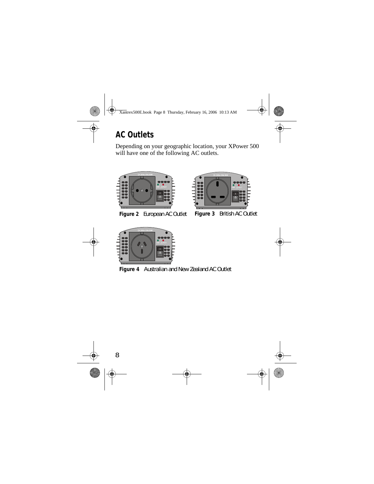# **AC Outlets**

Depending on your geographic location, your XPower 500 will have one of the following AC outlets.



**Figure 2** European AC Outlet **Figure 3** British AC Outlet





**Figure 4** Australian and New Zealand AC Outlet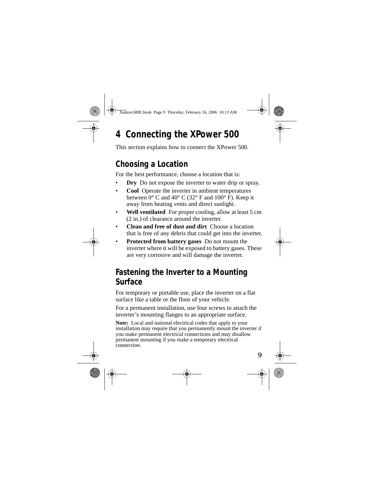# **4 Connecting the XPower 500**

This section explains how to connect the XPower 500.

### **Choosing a Location**

For the best performance, choose a location that is:

- **Dry** Do not expose the inverter to water drip or spray.
- **Cool** Operate the inverter in ambient temperatures between  $0^{\circ}$  C and  $40^{\circ}$  C (32 $^{\circ}$  F and 100 $^{\circ}$  F). Keep it away from heating vents and direct sunlight.
- Well ventilated For proper cooling, allow at least 5 cm (2 in.) of clearance around the inverter.
- **Clean and free of dust and dirt** Choose a location that is free of any debris that could get into the inverter.
- **Protected from battery gases** Do not mount the inverter where it will be exposed to battery gases. These are very corrosive and will damage the inverter.

### **Fastening the Inverter to a Mounting Surface**

For temporary or portable use, place the inverter on a flat surface like a table or the floor of your vehicle.

For a permanent installation, use four screws to attach the inverter's mounting flanges to an appropriate surface.

**Note:** Local and national electrical codes that apply to your installation may require that you permanently mount the inverter if you make permanent electrical connections and may disallow permanent mounting if you make a temporary electrical connection.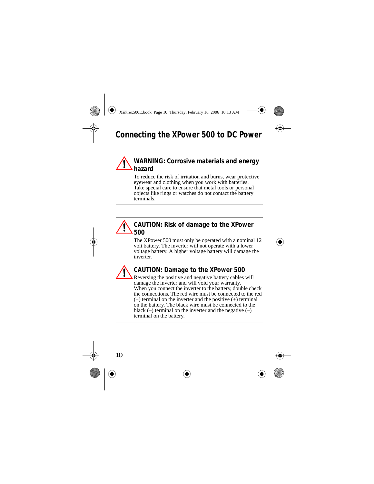# **Connecting the XPower 500 to DC Power**

#### **WARNING: Corrosive materials and energy hazard**

To reduce the risk of irritation and burns, wear protective eyewear and clothing when you work with batteries. Take special care to ensure that metal tools or personal objects like rings or watches do not contact the battery terminals.



The XPower 500 must only be operated with a nominal 12 volt battery. The inverter will not operate with a lower voltage battery. A higher voltage battery will damage the inverter.



#### **CAUTION: Damage to the XPower 500**

Reversing the positive and negative battery cables will damage the inverter and will void your warranty. When you connect the inverter to the battery, double check the connections. The red wire must be connected to the red  $(+)$  terminal on the inverter and the positive  $(+)$  terminal on the battery. The black wire must be connected to the black  $(-)$  terminal on the inverter and the negative  $(-)$ terminal on the battery.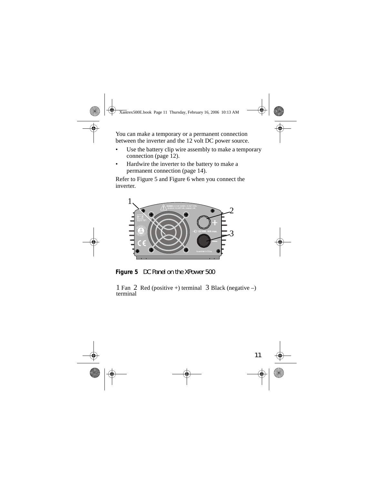You can make a temporary or a permanent connection between the inverter and the 12 volt DC power source.

- Use the battery clip wire assembly to make a temporary connection (page 12).
- Hardwire the inverter to the battery to make a permanent connection (page 14).

Refer to Figure 5 and Figure 6 when you connect the inverter.



**Figure 5** DC Panel on the XPower 500

1 Fan 2 Red (positive +) terminal 3 Black (negative  $-$ ) terminal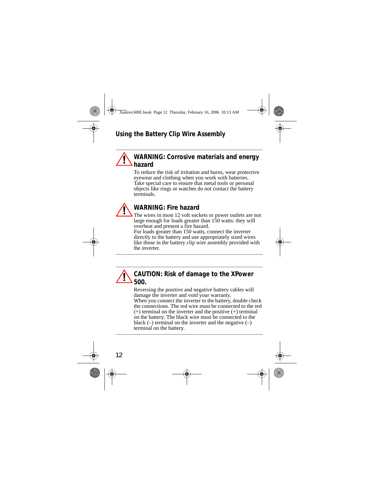#### **WARNING: Corrosive materials and energy hazard**

To reduce the risk of irritation and burns, wear protective eyewear and clothing when you work with batteries. Take special care to ensure that metal tools or personal objects like rings or watches do not contact the battery terminals.



#### **WARNING: Fire hazard**

The wires in most 12 volt sockets or power outlets are not large enough for loads greater than 150 watts: they will overheat and present a fire hazard.

For loads greater than 150 watts, connect the inverter directly to the battery and use appropriately sized wires like those in the battery clip wire assembly provided with the inverter.

### **CAUTION: Risk of damage to the XPower 500.**

Reversing the positive and negative battery cables will damage the inverter and void your warranty. When you connect the inverter to the battery, double check the connections. The red wire must be connected to the red (+) terminal on the inverter and the positive (+) terminal on the battery. The black wire must be connected to the black  $(-)$  terminal on the inverter and the negative  $(-)$ terminal on the battery.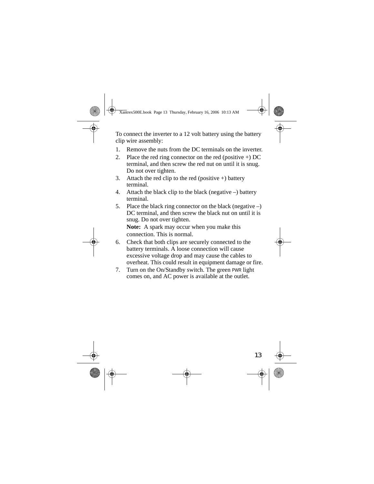To connect the inverter to a 12 volt battery using the battery clip wire assembly:

- 1. Remove the nuts from the DC terminals on the inverter.
- 2. Place the red ring connector on the red (positive  $+$ ) DC terminal, and then screw the red nut on until it is snug. Do not over tighten.
- 3. Attach the red clip to the red (positive  $+$ ) battery terminal.
- 4. Attach the black clip to the black (negative –) battery terminal.
- 5. Place the black ring connector on the black (negative –) DC terminal, and then screw the black nut on until it is snug. Do not over tighten.

**Note:** A spark may occur when you make this connection. This is normal.

- 6. Check that both clips are securely connected to the battery terminals. A loose connection will cause excessive voltage drop and may cause the cables to overheat. This could result in equipment damage or fire.
- 7. Turn on the On/Standby switch. The green PWR light comes on, and AC power is available at the outlet.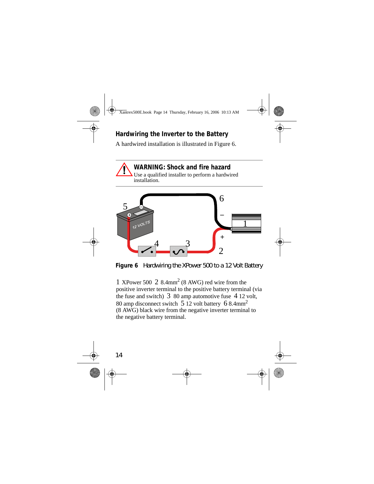#### **Hardwiring the Inverter to the Battery**

A hardwired installation is illustrated in Figure 6.





**Figure 6** Hardwiring the XPower 500 to a 12 Volt Battery

1 XPower 500 2 8.4mm2 (8 AWG) red wire from the positive inverter terminal to the positive battery terminal (via the fuse and switch)  $3\,80$  amp automotive fuse  $4\,12$  volt, 80 amp disconnect switch 5 12 volt battery 6 8.4mm2 (8 AWG) black wire from the negative inverter terminal to the negative battery terminal.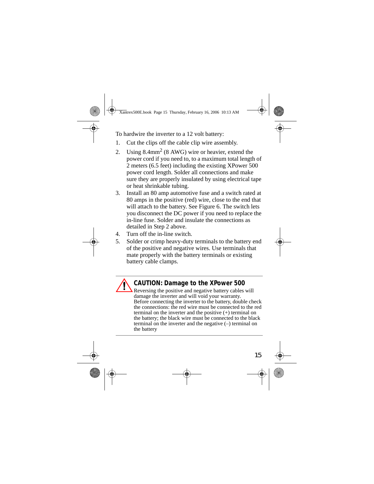To hardwire the inverter to a 12 volt battery:

- 1. Cut the clips off the cable clip wire assembly.
- 2. Using  $8.4$ mm<sup>2</sup> ( $8 \text{ AWG}$ ) wire or heavier, extend the power cord if you need to, to a maximum total length of 2 meters (6.5 feet) including the existing XPower 500 power cord length. Solder all connections and make sure they are properly insulated by using electrical tape or heat shrinkable tubing.
- 3. Install an 80 amp automotive fuse and a switch rated at 80 amps in the positive (red) wire, close to the end that will attach to the battery. See Figure 6. The switch lets you disconnect the DC power if you need to replace the in-line fuse. Solder and insulate the connections as detailed in Step 2 above.
- 4. Turn off the in-line switch.
- 5. Solder or crimp heavy-duty terminals to the battery end of the positive and negative wires. Use terminals that mate properly with the battery terminals or existing battery cable clamps.

**CAUTION: Damage to the XPower 500** Reversing the positive and negative battery cables will damage the inverter and will void your warranty. Before connecting the inverter to the battery, double check the connections: the red wire must be connected to the red terminal on the inverter and the positive (+) terminal on the battery; the black wire must be connected to the black terminal on the inverter and the negative (–) terminal on the battery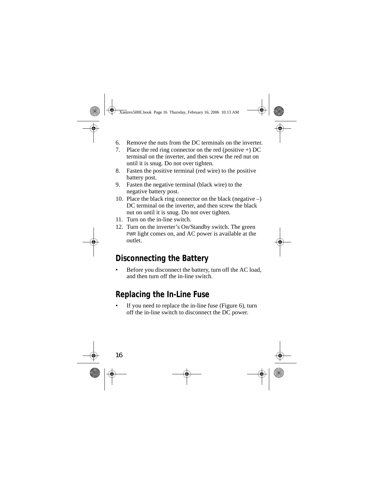- 6. Remove the nuts from the DC terminals on the inverter.
- 7. Place the red ring connector on the red (positive +) DC terminal on the inverter, and then screw the red nut on until it is snug. Do not over tighten.
- 8. Fasten the positive terminal (red wire) to the positive battery post.
- 9. Fasten the negative terminal (black wire) to the negative battery post.
- 10. Place the black ring connector on the black (negative –) DC terminal on the inverter, and then screw the black nut on until it is snug. Do not over tighten.
- 11. Turn on the in-line switch.
- 12. Turn on the inverter's On/Standby switch. The green PWR light comes on, and AC power is available at the outlet.

# **Disconnecting the Battery**

Before you disconnect the battery, turn off the AC load, and then turn off the in-line switch.

# **Replacing the In-Line Fuse**

If you need to replace the in-line fuse (Figure 6), turn off the in-line switch to disconnect the DC power.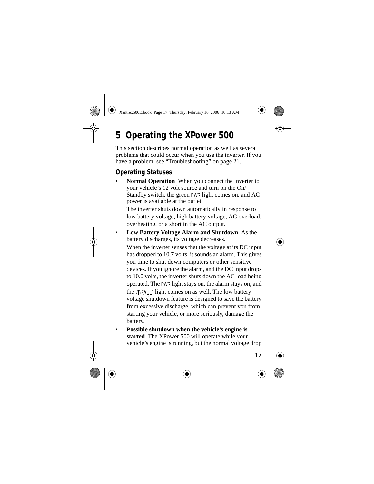# **5 Operating the XPower 500**

This section describes normal operation as well as several problems that could occur when you use the inverter. If you have a problem, see "Troubleshooting" on page 21.

#### **Operating Statuses**

**Normal Operation** When you connect the inverter to your vehicle's 12 volt source and turn on the On/ Standby switch, the green PWR light comes on, and AC power is available at the outlet.

The inverter shuts down automatically in response to low battery voltage, high battery voltage, AC overload, overheating, or a short in the AC output.

• **Low Battery Voltage Alarm and Shutdown** As the battery discharges, its voltage decreases.

When the inverter senses that the voltage at its DC input has dropped to 10.7 volts, it sounds an alarm. This gives you time to shut down computers or other sensitive devices. If you ignore the alarm, and the DC input drops to 10.0 volts, the inverter shuts down the AC load being operated. The PWR light stays on, the alarm stays on, and the  $\Lambda$ FAULT light comes on as well. The low battery voltage shutdown feature is designed to save the battery from excessive discharge, which can prevent you from starting your vehicle, or more seriously, damage the battery.

• **Possible shutdown when the vehicle's engine is started** The XPower 500 will operate while your vehicle's engine is running, but the normal voltage drop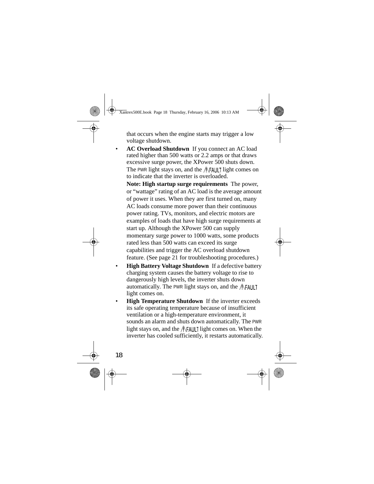that occurs when the engine starts may trigger a low voltage shutdown.

• **AC Overload Shutdown** If you connect an AC load rated higher than 500 watts or 2.2 amps or that draws excessive surge power, the XPower 500 shuts down. The PWR light stays on, and the  $\Lambda$ FAULT light comes on to indicate that the inverter is overloaded.

**Note: High startup surge requirements** The power, or "wattage" rating of an AC load is the average amount of power it uses. When they are first turned on, many AC loads consume more power than their continuous power rating. TVs, monitors, and electric motors are examples of loads that have high surge requirements at start up. Although the XPower 500 can supply momentary surge power to 1000 watts, some products rated less than 500 watts can exceed its surge capabilities and trigger the AC overload shutdown feature. (See page 21 for troubleshooting procedures.)

- **High Battery Voltage Shutdown** If a defective battery charging system causes the battery voltage to rise to dangerously high levels, the inverter shuts down automatically. The PWR light stays on, and the  $\Lambda$ FAULT light comes on.
- **High Temperature Shutdown** If the inverter exceeds its safe operating temperature because of insufficient ventilation or a high-temperature environment, it sounds an alarm and shuts down automatically. The PWR light stays on, and the  $\Lambda$ FAULT light comes on. When the inverter has cooled sufficiently, it restarts automatically.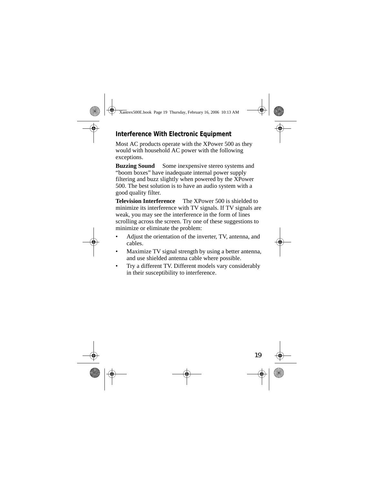#### **Interference With Electronic Equipment**

Most AC products operate with the XPower 500 as they would with household AC power with the following exceptions.

**Buzzing Sound** Some inexpensive stereo systems and "boom boxes" have inadequate internal power supply filtering and buzz slightly when powered by the XPower 500. The best solution is to have an audio system with a good quality filter.

**Television Interference** The XPower 500 is shielded to minimize its interference with TV signals. If TV signals are weak, you may see the interference in the form of lines scrolling across the screen. Try one of these suggestions to minimize or eliminate the problem:

- Adjust the orientation of the inverter, TV, antenna, and cables.
- Maximize TV signal strength by using a better antenna, and use shielded antenna cable where possible.
- Try a different TV. Different models vary considerably in their susceptibility to interference.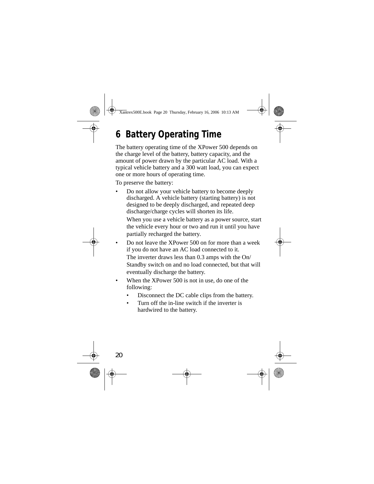# **6 Battery Operating Time**

The battery operating time of the XPower 500 depends on the charge level of the battery, battery capacity, and the amount of power drawn by the particular AC load. With a typical vehicle battery and a 300 watt load, you can expect one or more hours of operating time.

To preserve the battery:

• Do not allow your vehicle battery to become deeply discharged. A vehicle battery (starting battery) is not designed to be deeply discharged, and repeated deep discharge/charge cycles will shorten its life.

When you use a vehicle battery as a power source, start the vehicle every hour or two and run it until you have partially recharged the battery.

- Do not leave the XPower 500 on for more than a week if you do not have an AC load connected to it. The inverter draws less than 0.3 amps with the On/ Standby switch on and no load connected, but that will eventually discharge the battery.
- When the XPower 500 is not in use, do one of the following:
	- Disconnect the DC cable clips from the battery.
	- Turn off the in-line switch if the inverter is hardwired to the battery.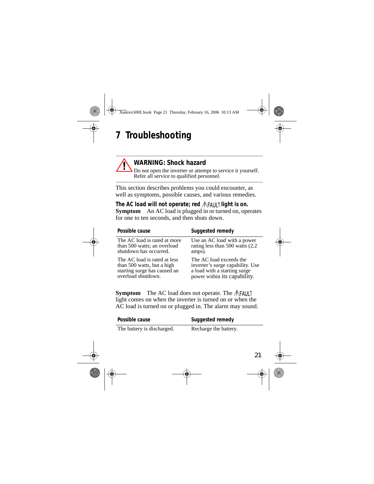# **7 Troubleshooting**



#### **WARNING: Shock hazard**

Do not open the inverter or attempt to service it yourself. Refer all service to qualified personnel.

This section describes problems you could encounter, as well as symptoms, possible causes, and various remedies.

The AC load will not operate; red  $\Lambda$ FAULT light is on. **Symptom** An AC load is plugged in or turned on, operates for one to ten seconds, and then shuts down.

| Possible cause               | Suggested remedy                 |
|------------------------------|----------------------------------|
| The AC load is rated at more | Use an AC load with a power      |
| than 500 watts; an overload  | rating less than 500 watts (2.2) |
| shutdown has occurred.       | amps).                           |
| The AC load is rated at less | The AC load exceeds the          |
| than 500 watts, but a high   | inverter's surge capability. Use |
| starting surge has caused an | a load with a starting surge     |
| overload shutdown.           | power within its capability.     |

**Symptom** The AC load does not operate. The  $\Lambda$ FAULT light comes on when the inverter is turned on or when the AC load is turned on or plugged in. The alarm may sound.

| Possible cause             | Suggested remedy      |
|----------------------------|-----------------------|
| The battery is discharged. | Recharge the battery. |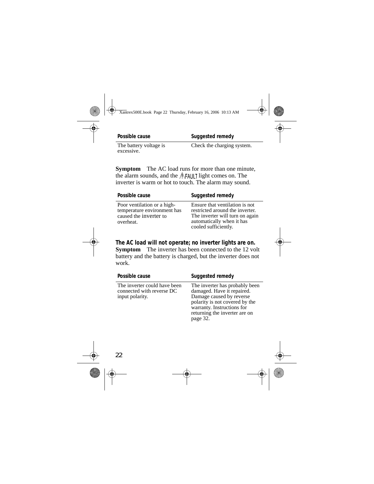**Possible cause Suggested remedy** 

The battery voltage is excessive.

Check the charging system.

**Symptom** The AC load runs for more than one minute, the alarm sounds, and the  $\Lambda$ FAULT light comes on. The inverter is warm or hot to touch. The alarm may sound.

| Possible cause                                                                                    | Suggested remedy                                                                                                                                          |
|---------------------------------------------------------------------------------------------------|-----------------------------------------------------------------------------------------------------------------------------------------------------------|
| Poor ventilation or a high-<br>temperature environment has<br>caused the inverter to<br>overheat. | Ensure that ventilation is not<br>restricted around the inverter.<br>The inverter will turn on again<br>automatically when it has<br>cooled sufficiently. |

**The AC load will not operate; no inverter lights are on. Symptom** The inverter has been connected to the 12 volt battery and the battery is charged, but the inverter does not work.

| Possible cause                                                               | Suggested remedy                                                                                                                                                                                      |
|------------------------------------------------------------------------------|-------------------------------------------------------------------------------------------------------------------------------------------------------------------------------------------------------|
| The inverter could have been<br>connected with reverse DC<br>input polarity. | The inverter has probably been<br>damaged. Have it repaired.<br>Damage caused by reverse<br>polarity is not covered by the<br>warranty. Instructions for<br>returning the inverter are on<br>page 32. |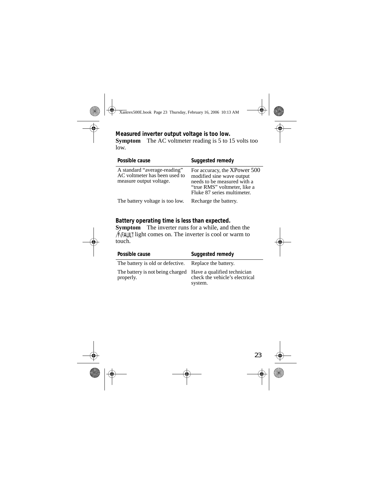**Measured inverter output voltage is too low. Symptom** The AC voltmeter reading is 5 to 15 volts too low.

| Possible cause                                                                           | Suggested remedy                                                                                                                                        |
|------------------------------------------------------------------------------------------|---------------------------------------------------------------------------------------------------------------------------------------------------------|
| A standard "average-reading"<br>AC voltmeter has been used to<br>measure output voltage. | For accuracy, the XPower 500<br>modified sine wave output<br>needs to be measured with a<br>"true RMS" voltmeter, like a<br>Fluke 87 series multimeter. |
| The battery voltage is too low.                                                          | Recharge the battery.                                                                                                                                   |

**Battery operating time is less than expected. Symptom** The inverter runs for a while, and then the  $\Lambda$ FAULT light comes on. The inverter is cool or warm to touch.

| Possible cause                                                            | Suggested remedy                          |
|---------------------------------------------------------------------------|-------------------------------------------|
| The battery is old or defective. Replace the battery.                     |                                           |
| The battery is not being charged Have a qualified technician<br>properly. | check the vehicle's electrical<br>system. |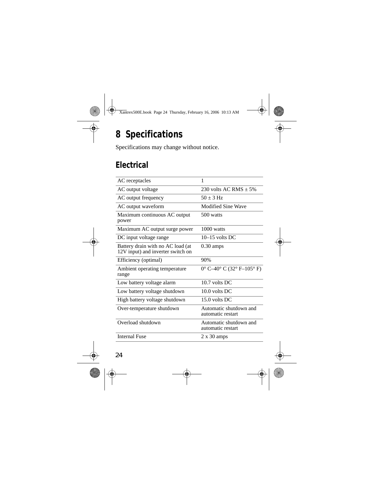# **8 Specifications**

Specifications may change without notice.

## **Electrical**

| AC receptacles                                                         | 1                                           |
|------------------------------------------------------------------------|---------------------------------------------|
| AC output voltage                                                      | 230 volts AC RMS $+5\%$                     |
| AC output frequency                                                    | $50 + 3$ Hz                                 |
| AC output waveform                                                     | Modified Sine Wave                          |
| Maximum continuous AC output<br>power                                  | 500 watts                                   |
| Maximum AC output surge power                                          | $1000$ watts                                |
| DC input voltage range                                                 | $10-15$ volts DC                            |
| Battery drain with no AC load (at<br>12V input) and inverter switch on | $0.30 \text{ amps}$                         |
| Efficiency (optimal)                                                   | 90%                                         |
| Ambient operating temperature<br>range                                 | $0^{\circ}$ C-40° C (32° F-105° F)          |
| Low battery voltage alarm                                              | $10.7$ volts DC                             |
| Low battery voltage shutdown                                           | $10.0$ volts DC                             |
| High battery voltage shutdown                                          | 15.0 volts DC                               |
| Over-temperature shutdown                                              | Automatic shutdown and<br>automatic restart |
| Overload shutdown                                                      | Automatic shutdown and<br>automatic restart |
| <b>Internal Fuse</b>                                                   | $2 \times 30$ amps                          |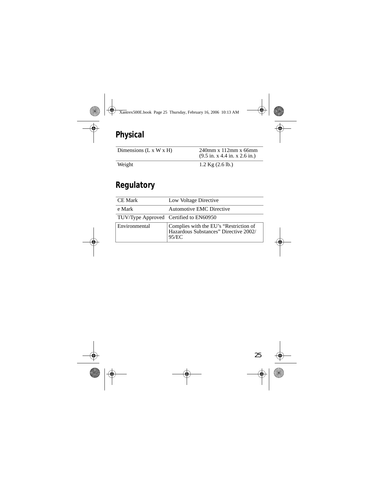# **Physical**

| Dimensions $(L x W x H)$ | $240$ mm x $112$ mm x 66mm<br>$(9.5 \text{ in. x } 4.4 \text{ in. x } 2.6 \text{ in.})$ |
|--------------------------|-----------------------------------------------------------------------------------------|
| Weight                   | $1.2$ Kg $(2.6$ lb.)                                                                    |

# **Regulatory**

| <b>CE</b> Mark | Low Voltage Directive                                                                    |
|----------------|------------------------------------------------------------------------------------------|
| e Mark         | <b>Automotive EMC Directive</b>                                                          |
|                | TUV/Type Approved Certified to EN60950                                                   |
| Environmental  | Complies with the EU's "Restriction of<br>Hazardous Substances" Directive 2002/<br>95/EC |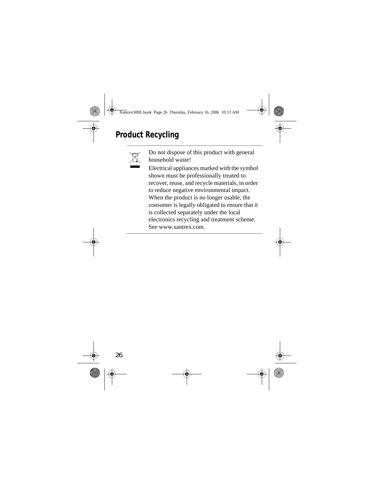# **Product Recycling**



Do not dispose of this product with general household waste!

Electrical appliances marked with the symbol shown must be professionally treated to recover, reuse, and recycle materials, in order to reduce negative environmental impact. When the product is no longer usable, the consumer is legally obligated to ensure that it is collected separately under the local electronics recycling and treatment scheme. See www.xantrex.com.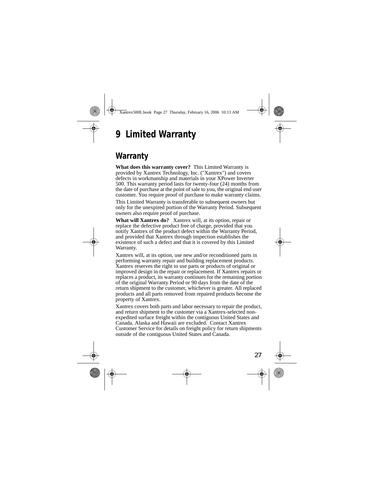# **9 Limited Warranty**

### **Warranty**

**What does this warranty cover?** This Limited Warranty is provided by Xantrex Technology, Inc. ("Xantrex") and covers defects in workmanship and materials in your XPower Inverter 500. This warranty period lasts for twenty-four (24) months from the date of purchase at the point of sale to you, the original end user customer. You require proof of purchase to make warranty claims.

This Limited Warranty is transferable to subsequent owners but only for the unexpired portion of the Warranty Period. Subsequent owners also require proof of purchase.

**What will Xantrex do?** Xantrex will, at its option, repair or replace the defective product free of charge, provided that you notify Xantrex of the product defect within the Warranty Period, and provided that Xantrex through inspection establishes the existence of such a defect and that it is covered by this Limited Warranty.

Xantrex will, at its option, use new and/or reconditioned parts in performing warranty repair and building replacement products. Xantrex reserves the right to use parts or products of original or improved design in the repair or replacement. If Xantrex repairs or replaces a product, its warranty continues for the remaining portion of the original Warranty Period or 90 days from the date of the return shipment to the customer, whichever is greater. All replaced products and all parts removed from repaired products become the property of Xantrex.

Xantrex covers both parts and labor necessary to repair the product, and return shipment to the customer via a Xantrex-selected nonexpedited surface freight within the contiguous United States and Canada. Alaska and Hawaii are excluded. Contact Xantrex Customer Service for details on freight policy for return shipments outside of the contiguous United States and Canada.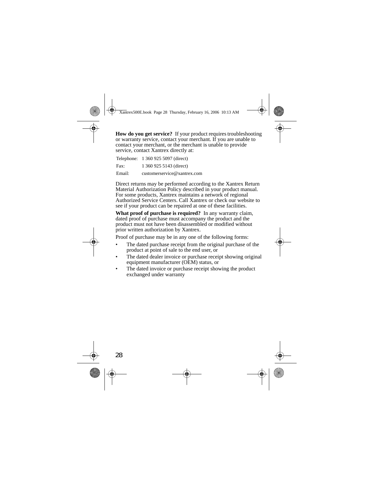**How do you get service?** If your product requires troubleshooting or warranty service, contact your merchant. If you are unable to contact your merchant, or the merchant is unable to provide service, contact Xantrex directly at:

|        | Telephone: 1 360 925 5097 (direct) |
|--------|------------------------------------|
| Fax:   | 1 360 925 5143 (direct)            |
| Email: | customerservice@xantrex.com        |

Direct returns may be performed according to the Xantrex Return Material Authorization Policy described in your product manual. For some products, Xantrex maintains a network of regional Authorized Service Centers. Call Xantrex or check our website to see if your product can be repaired at one of these facilities.

**What proof of purchase is required?** In any warranty claim, dated proof of purchase must accompany the product and the product must not have been disassembled or modified without prior written authorization by Xantrex.

Proof of purchase may be in any one of the following forms:

- The dated purchase receipt from the original purchase of the product at point of sale to the end user, or
- The dated dealer invoice or purchase receipt showing original equipment manufacturer (OEM) status, or
- The dated invoice or purchase receipt showing the product exchanged under warranty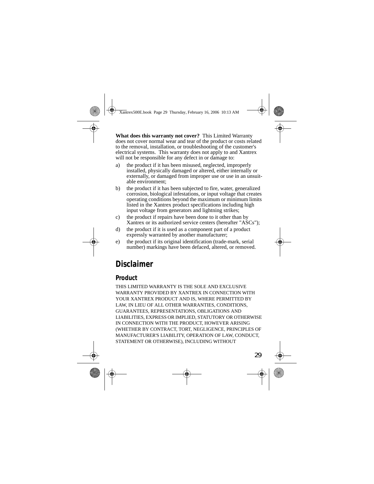**What does this warranty not cover?** This Limited Warranty does not cover normal wear and tear of the product or costs related to the removal, installation, or troubleshooting of the customer's electrical systems. This warranty does not apply to and Xantrex will not be responsible for any defect in or damage to:

- a) the product if it has been misused, neglected, improperly installed, physically damaged or altered, either internally or externally, or damaged from improper use or use in an unsuitable environment;
- b) the product if it has been subjected to fire, water, generalized corrosion, biological infestations, or input voltage that creates operating conditions beyond the maximum or minimum limits listed in the Xantrex product specifications including high input voltage from generators and lightning strikes;
- c) the product if repairs have been done to it other than by Xantrex or its authorized service centers (hereafter "ASCs");
- d) the product if it is used as a component part of a product expressly warranted by another manufacturer;
- e) the product if its original identification (trade-mark, serial number) markings have been defaced, altered, or removed.

# **Disclaimer**

#### **Product**

THIS LIMITED WARRANTY IS THE SOLE AND EXCLUSIVE WARRANTY PROVIDED BY XANTREX IN CONNECTION WITH YOUR XANTREX PRODUCT AND IS, WHERE PERMITTED BY LAW, IN LIEU OF ALL OTHER WARRANTIES, CONDITIONS, GUARANTEES, REPRESENTATIONS, OBLIGATIONS AND LIABILITIES, EXPRESS OR IMPLIED, STATUTORY OR OTHERWISE IN CONNECTION WITH THE PRODUCT, HOWEVER ARISING (WHETHER BY CONTRACT, TORT, NEGLIGENCE, PRINCIPLES OF MANUFACTURER'S LIABILITY, OPERATION OF LAW, CONDUCT, STATEMENT OR OTHERWISE), INCLUDING WITHOUT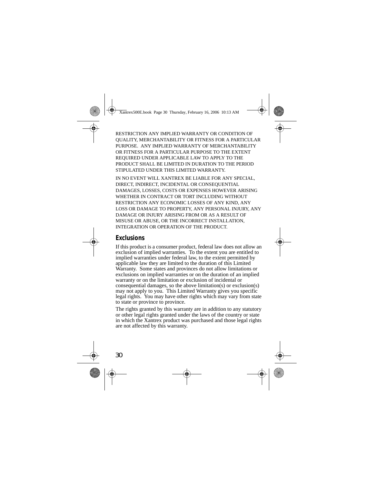RESTRICTION ANY IMPLIED WARRANTY OR CONDITION OF QUALITY, MERCHANTABILITY OR FITNESS FOR A PARTICULAR PURPOSE. ANY IMPLIED WARRANTY OF MERCHANTABILITY OR FITNESS FOR A PARTICULAR PURPOSE TO THE EXTENT REQUIRED UNDER APPLICABLE LAW TO APPLY TO THE PRODUCT SHALL BE LIMITED IN DURATION TO THE PERIOD STIPULATED UNDER THIS LIMITED WARRANTY.

IN NO EVENT WILL XANTREX BE LIABLE FOR ANY SPECIAL, DIRECT, INDIRECT, INCIDENTAL OR CONSEQUENTIAL DAMAGES, LOSSES, COSTS OR EXPENSES HOWEVER ARISING WHETHER IN CONTRACT OR TORT INCLUDING WITHOUT RESTRICTION ANY ECONOMIC LOSSES OF ANY KIND, ANY LOSS OR DAMAGE TO PROPERTY, ANY PERSONAL INJURY, ANY DAMAGE OR INJURY ARISING FROM OR AS A RESULT OF MISUSE OR ABUSE, OR THE INCORRECT INSTALLATION, INTEGRATION OR OPERATION OF THE PRODUCT.

#### **Exclusions**

If this product is a consumer product, federal law does not allow an exclusion of implied warranties. To the extent you are entitled to implied warranties under federal law, to the extent permitted by applicable law they are limited to the duration of this Limited Warranty. Some states and provinces do not allow limitations or exclusions on implied warranties or on the duration of an implied warranty or on the limitation or exclusion of incidental or consequential damages, so the above limitation(s) or exclusion(s) may not apply to you. This Limited Warranty gives you specific legal rights. You may have other rights which may vary from state to state or province to province.

The rights granted by this warranty are in addition to any statutory or other legal rights granted under the laws of the country or state in which the Xantrex product was purchased and those legal rights are not affected by this warranty.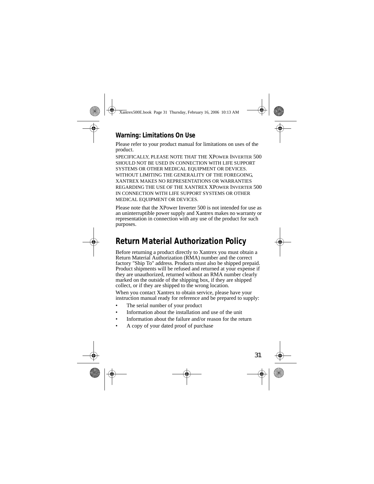#### **Warning: Limitations On Use**

Please refer to your product manual for limitations on uses of the product.

SPECIFICALLY, PLEASE NOTE THAT THE XPOWER INVERTER 500 SHOULD NOT BE USED IN CONNECTION WITH LIFE SUPPORT SYSTEMS OR OTHER MEDICAL EQUIPMENT OR DEVICES. WITHOUT LIMITING THE GENERALITY OF THE FOREGOING, XANTREX MAKES NO REPRESENTATIONS OR WARRANTIES REGARDING THE USE OF THE XANTREX XPOWER INVERTER 500 IN CONNECTION WITH LIFE SUPPORT SYSTEMS OR OTHER MEDICAL EQUIPMENT OR DEVICES.

Please note that the XPower Inverter 500 is not intended for use as an uninterruptible power supply and Xantrex makes no warranty or representation in connection with any use of the product for such purposes.

## **Return Material Authorization Policy**

Before returning a product directly to Xantrex you must obtain a Return Material Authorization (RMA) number and the correct factory "Ship To" address. Products must also be shipped prepaid. Product shipments will be refused and returned at your expense if they are unauthorized, returned without an RMA number clearly marked on the outside of the shipping box, if they are shipped collect, or if they are shipped to the wrong location.

When you contact Xantrex to obtain service, please have your instruction manual ready for reference and be prepared to supply:

- The serial number of your product
- Information about the installation and use of the unit
- Information about the failure and/or reason for the return
- A copy of your dated proof of purchase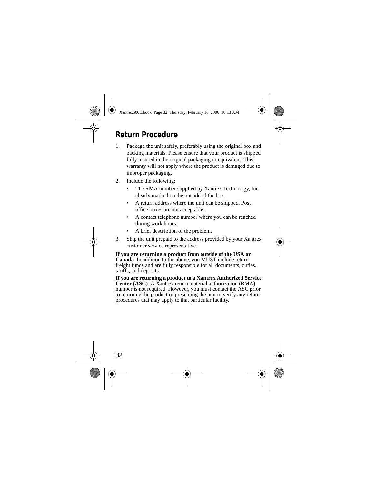### **Return Procedure**

- 1. Package the unit safely, preferably using the original box and packing materials. Please ensure that your product is shipped fully insured in the original packaging or equivalent. This warranty will not apply where the product is damaged due to improper packaging.
- 2. Include the following:
	- The RMA number supplied by Xantrex Technology, Inc. clearly marked on the outside of the box.
	- A return address where the unit can be shipped. Post office boxes are not acceptable.
	- A contact telephone number where you can be reached during work hours.
	- A brief description of the problem.
- 3. Ship the unit prepaid to the address provided by your Xantrex customer service representative.

**If you are returning a product from outside of the USA or Canada** In addition to the above, you MUST include return freight funds and are fully responsible for all documents, duties, tariffs, and deposits.

**If you are returning a product to a Xantrex Authorized Service Center (ASC)** A Xantrex return material authorization (RMA) number is not required. However, you must contact the ASC prior to returning the product or presenting the unit to verify any return procedures that may apply to that particular facility.